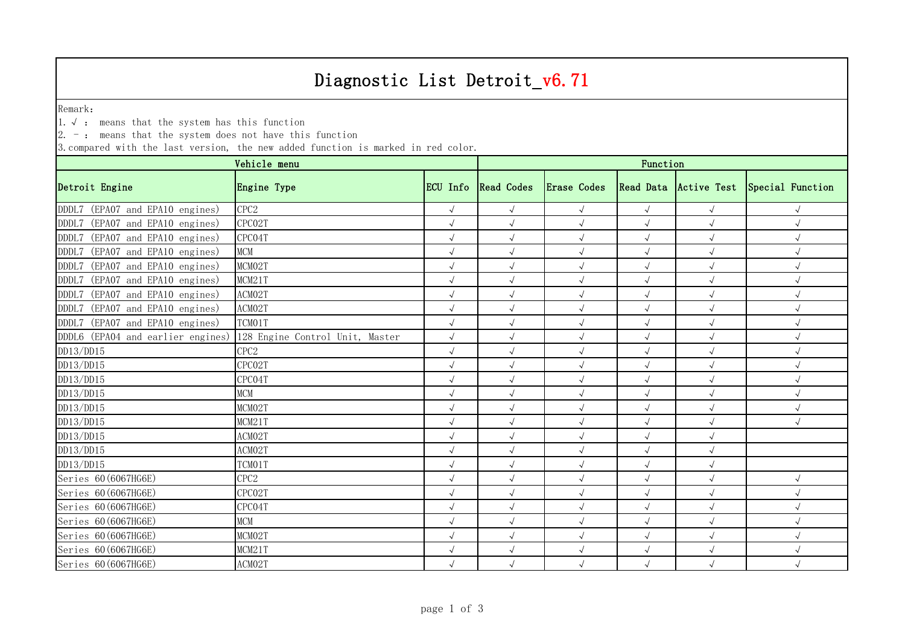## Diagnostic List Detroit\_v6.71

Remark:

1.√ : means that the system has this function

 $2. -:$  means that the system does not have this function

3.compared with the last version, the new added function is marked in red color.

| Vehicle menu                      |                                 |              | Function            |             |            |                       |                  |  |  |
|-----------------------------------|---------------------------------|--------------|---------------------|-------------|------------|-----------------------|------------------|--|--|
| Detroit Engine                    | Engine Type                     |              | ECU Info Read Codes | Erase Codes |            | Read Data Active Test | Special Function |  |  |
| DDDL7 (EPA07 and EPA10 engines)   | CPC <sub>2</sub>                | $\sqrt{ }$   | $\sqrt{ }$          | $\sqrt{ }$  | $\sqrt{}$  | $\sqrt{ }$            | $\sqrt{ }$       |  |  |
| DDDL7 (EPA07 and EPA10 engines)   | CPC02T                          | $\sqrt{ }$   | $\sqrt{ }$          | $\sqrt{ }$  | $\sqrt{ }$ |                       | $\sqrt{ }$       |  |  |
| DDDL7 (EPA07 and EPA10 engines)   | CPC04T                          |              | $\sqrt{}$           | $\sqrt{ }$  | $\sqrt{ }$ | $\sqrt{2}$            | $\sqrt{ }$       |  |  |
| DDDL7 (EPA07 and EPA10 engines)   | MCM                             |              | $\sqrt{2}$          | $\sqrt{ }$  |            | $\sqrt{ }$            | $\sqrt{ }$       |  |  |
| DDDL7 (EPA07 and EPA10 engines)   | MCM02T                          |              | $\sqrt{}$           | $\sqrt{ }$  |            |                       | $\sqrt{ }$       |  |  |
| DDDL7 (EPA07 and EPA10 engines)   | MCM21T                          | $\sqrt{}$    | $\sqrt{ }$          | $\sqrt{ }$  | $\sqrt{ }$ | $\sqrt{ }$            | $\sqrt{ }$       |  |  |
| DDDL7 (EPA07 and EPA10 engines)   | ACM02T                          |              | $\sqrt{}$           | $\sqrt{}$   |            | $\sqrt{ }$            | $\sqrt{ }$       |  |  |
| DDDL7 (EPA07 and EPA10 engines)   | ACM02T                          |              | $\sqrt{}$           |             |            |                       | $\sqrt{ }$       |  |  |
| DDDL7 (EPA07 and EPA10 engines)   | TCM01T                          |              | $\sqrt{ }$          |             |            |                       | $\sqrt{ }$       |  |  |
| DDDL6 (EPA04 and earlier engines) | 128 Engine Control Unit, Master | $\sqrt{}$    |                     |             |            |                       | $\sqrt{ }$       |  |  |
| DD13/DD15                         | TPC2                            |              |                     |             |            |                       |                  |  |  |
| DD13/DD15                         | CPC02T                          |              | $\sqrt{}$           | $\sqrt{ }$  | $\sqrt{ }$ |                       | $\sqrt{ }$       |  |  |
| DD13/DD15                         | CPC04T                          |              | $\sqrt{ }$          | $\sqrt{ }$  | $\sqrt{ }$ | $\sqrt{ }$            | $\sqrt{ }$       |  |  |
| DD13/DD15                         | <b>MCM</b>                      |              | $\sqrt{}$           | $\sqrt{ }$  | $\sqrt{ }$ | $\sqrt{ }$            | $\sqrt{ }$       |  |  |
| DD13/DD15                         | MCM02T                          |              | $\sqrt{}$           | $\sqrt{ }$  |            | $\sqrt{ }$            | $\sqrt{ }$       |  |  |
| DD13/DD15                         | MCM21T                          |              | $\sqrt{ }$          | $\sqrt{ }$  |            |                       | $\sqrt{ }$       |  |  |
| DD13/DD15                         | ACM02T                          | $\sqrt{}$    | $\sqrt{ }$          | $\sqrt{ }$  | $\sqrt{ }$ | $\sqrt{ }$            |                  |  |  |
| DD13/DD15                         | ACM02T                          |              | $\sqrt{}$           | $\sqrt{}$   |            | $\sqrt{2}$            |                  |  |  |
| DD13/DD15                         | TCM01T                          | $\sqrt{ }$   | $\sqrt{ }$          | $\sqrt{ }$  | $\sqrt{ }$ | $\sqrt{ }$            |                  |  |  |
| Series 60 (6067HG6E)              | TPC2                            | $\sqrt{ }$   | $\sqrt{ }$          | $\sqrt{ }$  | $\sqrt{ }$ | $\sqrt{ }$            | $\sqrt{ }$       |  |  |
| Series 60 (6067HG6E)              | CPC02T                          | $\sqrt{2}$   | $\sqrt{ }$          | $\sqrt{ }$  | $\sqrt{ }$ |                       | $\sqrt{ }$       |  |  |
| Series 60 (6067HG6E)              | CPC04T                          |              | $\sqrt{ }$          |             |            |                       |                  |  |  |
| Series 60 (6067HG6E)              | MCM                             |              | $\sqrt{ }$          | $\sqrt{ }$  | $\sqrt{ }$ |                       | $\sqrt{ }$       |  |  |
| Series 60 (6067HG6E)              | MCM02T                          |              | $\sqrt{}$           | $\sqrt{}$   | $\sqrt{ }$ | $\sqrt{ }$            | $\sqrt{ }$       |  |  |
| Series 60 (6067HG6E)              | MCM21T                          | $\checkmark$ | $\sqrt{}$           | $\sqrt{ }$  |            |                       | $\sqrt{ }$       |  |  |
| Series 60 (6067HG6E)              | ACMO2T                          | $\sqrt{ }$   | $\sqrt{ }$          | $\sqrt{ }$  |            |                       | $\sqrt{ }$       |  |  |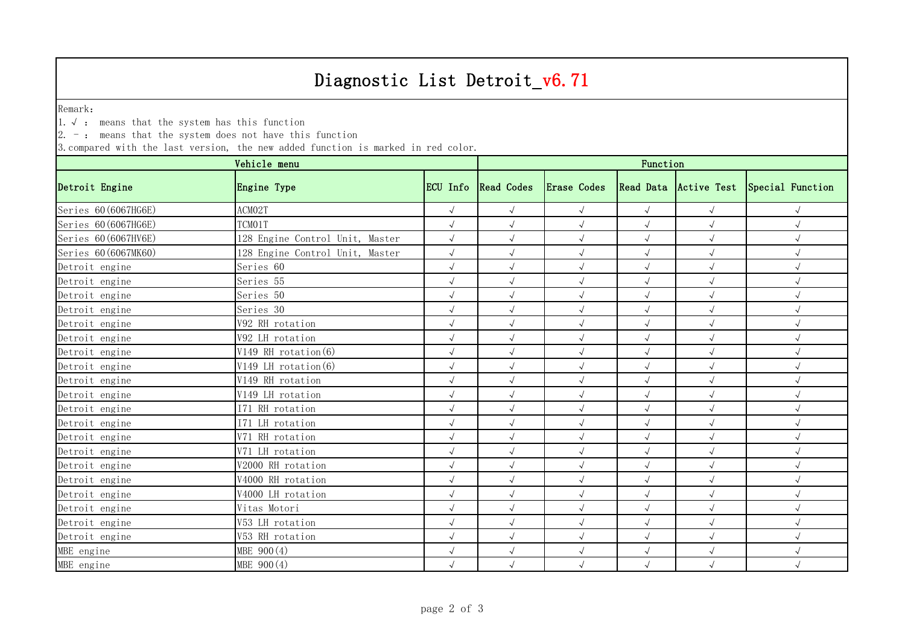## Diagnostic List Detroit\_v6.71

Remark:

1.√ : means that the system has this function

 $2. -:$  means that the system does not have this function

3.compared with the last version, the new added function is marked in red color.

| Vehicle menu         |                                 |              | Function            |             |            |            |                                        |  |  |
|----------------------|---------------------------------|--------------|---------------------|-------------|------------|------------|----------------------------------------|--|--|
| Detroit Engine       | Engine Type                     |              | ECU Info Read Codes | Erase Codes |            |            | Read Data Active Test Special Function |  |  |
| Series 60 (6067HG6E) | ACM02T                          | $\sqrt{ }$   | $\sqrt{ }$          | $\sqrt{ }$  | $\sqrt{}$  | $\sqrt{ }$ | $\sqrt{ }$                             |  |  |
| Series 60 (6067HG6E) | TCM01T                          | $\sqrt{}$    | $\sqrt{ }$          | $\sqrt{ }$  | $\sqrt{ }$ | $\sqrt{ }$ | $\sqrt{ }$                             |  |  |
| Series 60 (6067HV6E) | 128 Engine Control Unit, Master | $\sqrt{ }$   | $\sqrt{ }$          | $\sqrt{ }$  | $\sqrt{ }$ | $\sqrt{ }$ | $\sqrt{ }$                             |  |  |
| Series 60 (6067MK60) | 128 Engine Control Unit, Master | $\sqrt{}$    | $\sqrt{ }$          | $\sqrt{}$   |            | $\sqrt{ }$ | $\sqrt{ }$                             |  |  |
| Detroit engine       | Series 60                       | $\sqrt{ }$   | $\sqrt{ }$          | $\sqrt{ }$  |            | $\sqrt{ }$ | $\sqrt{ }$                             |  |  |
| Detroit engine       | Series 55                       | $\sqrt{ }$   | $\sqrt{ }$          | $\sqrt{ }$  | $\sqrt{ }$ | $\sqrt{ }$ | $\sqrt{ }$                             |  |  |
| Detroit engine       | Series 50                       | $\sqrt{ }$   | $\sqrt{ }$          | $\sqrt{ }$  |            | $\sqrt{ }$ | $\sqrt{ }$                             |  |  |
| Detroit engine       | Series 30                       | $\sqrt{ }$   | $\sqrt{}$           | $\sqrt{ }$  | $\sqrt{ }$ | $\sqrt{ }$ | $\sqrt{ }$                             |  |  |
| Detroit engine       | V92 RH rotation                 | $\sqrt{}$    | $\sqrt{ }$          | $\sqrt{ }$  | $\sqrt{ }$ | $\sqrt{ }$ | $\sqrt{ }$                             |  |  |
| Detroit engine       | V92 LH rotation                 |              | $\sqrt{}$           | $\sqrt{}$   | $\sqrt{ }$ | $\sqrt{ }$ | $\sqrt{ }$                             |  |  |
| Detroit engine       | V149 RH rotation (6)            | $\sqrt{}$    | $\sqrt{ }$          | $\sqrt{ }$  |            | $\sqrt{ }$ | $\sqrt{ }$                             |  |  |
| Detroit engine       | V149 LH rotation (6)            |              | $\sqrt{ }$          | $\sqrt{ }$  | $\sqrt{ }$ | $\sqrt{ }$ | $\sqrt{}$                              |  |  |
| Detroit engine       | V149 RH rotation                | $\sqrt{}$    | $\sqrt{ }$          | $\sqrt{ }$  | $\sqrt{ }$ | $\sqrt{ }$ | $\sqrt{ }$                             |  |  |
| Detroit engine       | V149 LH rotation                | $\sqrt{2}$   | $\sqrt{ }$          | $\sqrt{ }$  |            | $\sqrt{ }$ | $\sqrt{ }$                             |  |  |
| Detroit engine       | I71 RH rotation                 | $\sqrt{2}$   | $\sqrt{2}$          | $\sqrt{ }$  | $\sqrt{ }$ | $\sqrt{ }$ | $\sqrt{ }$                             |  |  |
| Detroit engine       | I71 LH rotation                 | $\sqrt{ }$   | $\sqrt{ }$          | $\sqrt{ }$  | $\sqrt{ }$ | $\sqrt{ }$ | $\sqrt{ }$                             |  |  |
| Detroit engine       | V71 RH rotation                 | $\sqrt{2}$   | $\sqrt{}$           | $\sqrt{ }$  | $\sqrt{ }$ | $\sqrt{ }$ | $\sqrt{ }$                             |  |  |
| Detroit engine       | V71 LH rotation                 | $\sqrt{ }$   | $\sqrt{ }$          | $\sqrt{ }$  | $\sqrt{ }$ | $\sqrt{ }$ | $\sqrt{ }$                             |  |  |
| Detroit engine       | V2000 RH rotation               | $\sqrt{}$    | $\sqrt{ }$          | $\sqrt{ }$  | $\sqrt{ }$ | $\sqrt{ }$ | $\sqrt{ }$                             |  |  |
| Detroit engine       | V4000 RH rotation               | $\checkmark$ | $\sqrt{ }$          | $\sqrt{ }$  | $\sqrt{ }$ | $\sqrt{ }$ | $\sqrt{ }$                             |  |  |
| Detroit engine       | V4000 LH rotation               | $\sqrt{}$    | $\sqrt{}$           | $\sqrt{ }$  | $\sqrt{ }$ | $\sqrt{ }$ | $\sqrt{ }$                             |  |  |
| Detroit engine       | Vitas Motori                    |              | $\sqrt{ }$          | $\sqrt{ }$  |            | $\sqrt{ }$ | $\sqrt{ }$                             |  |  |
| Detroit engine       | 753 LH rotation                 | $\sqrt{}$    | $\sqrt{ }$          | $\sqrt{ }$  | $\sqrt{ }$ | $\sqrt{ }$ | $\sqrt{ }$                             |  |  |
| Detroit engine       | V53 RH rotation                 | $\sqrt{ }$   | $\sqrt{ }$          | $\sqrt{ }$  | $\sqrt{ }$ | $\sqrt{ }$ | $\sqrt{ }$                             |  |  |
| MBE engine           | MBE 900(4)                      | $\sqrt{2}$   | $\sqrt{ }$          | $\sqrt{ }$  | $\sqrt{ }$ | $\sqrt{ }$ | $\sqrt{ }$                             |  |  |
| MBE engine           | MBE 900(4)                      | $\sqrt{ }$   | $\sqrt{ }$          | $\sqrt{ }$  | $\sqrt{ }$ | $\sqrt{ }$ | $\sqrt{ }$                             |  |  |